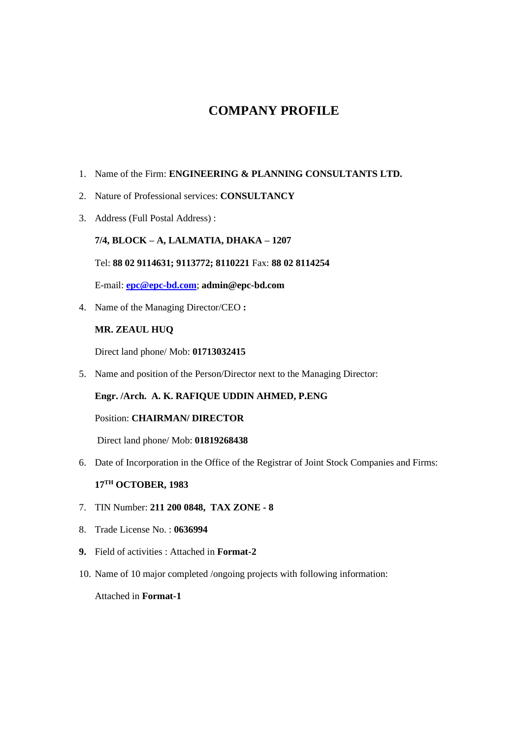## **COMPANY PROFILE**

- 1. Name of the Firm: **ENGINEERING & PLANNING CONSULTANTS LTD.**
- 2. Nature of Professional services: **CONSULTANCY**
- 3. Address (Full Postal Address) :

#### **7/4, BLOCK – A, LALMATIA, DHAKA – 1207**

#### Tel: **88 02 9114631; 9113772; 8110221** Fax: **88 02 8114254**

E-mail: **[epc@epc-bd.com](mailto:epc@epc-bd.com)**; **admin@epc-bd.com**

4. Name of the Managing Director/CEO **:**

#### **MR. ZEAUL HUQ**

Direct land phone/ Mob: **01713032415**

5. Name and position of the Person/Director next to the Managing Director:

#### **Engr. /Arch. A. K. RAFIQUE UDDIN AHMED, P.ENG**

#### Position: **CHAIRMAN/ DIRECTOR**

Direct land phone/ Mob: **01819268438**

6. Date of Incorporation in the Office of the Registrar of Joint Stock Companies and Firms:

#### **17TH OCTOBER, 1983**

- 7. TIN Number: **211 200 0848, TAX ZONE - 8**
- 8. Trade License No. : **0636994**
- **9.** Field of activities : Attached in **Format-2**
- 10. Name of 10 major completed /ongoing projects with following information:

#### Attached in **Format-1**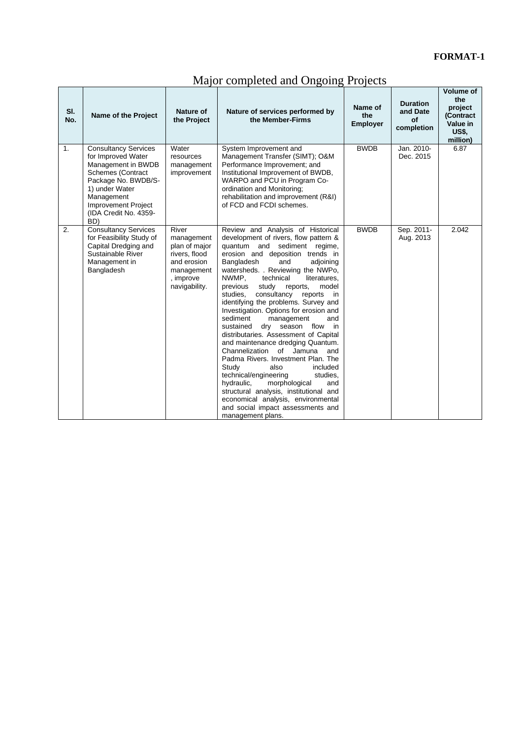### **FORMAT-1**

|  | Major completed and Ongoing Projects |  |  |  |
|--|--------------------------------------|--|--|--|
|  |                                      |  |  |  |

| SI.<br>No.     | Name of the Project                                                                                                                                                                                                      | Nature of<br>the Project                                                                                         | Nature of services performed by<br>the Member-Firms                                                                                                                                                                                                                                                                                                                                                                                                                                                                                                                                                                                                                                                                                                                                                                                                                                                                 | Name of<br>the<br><b>Employer</b> | <b>Duration</b><br>and Date<br>Οf<br>completion | <b>Volume of</b><br>the<br>project<br>(Contract<br>Value in<br><b>US\$,</b><br>million) |
|----------------|--------------------------------------------------------------------------------------------------------------------------------------------------------------------------------------------------------------------------|------------------------------------------------------------------------------------------------------------------|---------------------------------------------------------------------------------------------------------------------------------------------------------------------------------------------------------------------------------------------------------------------------------------------------------------------------------------------------------------------------------------------------------------------------------------------------------------------------------------------------------------------------------------------------------------------------------------------------------------------------------------------------------------------------------------------------------------------------------------------------------------------------------------------------------------------------------------------------------------------------------------------------------------------|-----------------------------------|-------------------------------------------------|-----------------------------------------------------------------------------------------|
| $\mathbf{1}$ . | <b>Consultancy Services</b><br>for Improved Water<br>Management in BWDB<br><b>Schemes (Contract</b><br>Package No. BWDB/S-<br>1) under Water<br>Management<br><b>Improvement Project</b><br>(IDA Credit No. 4359-<br>BD) | Water<br>resources<br>management<br>improvement                                                                  | System Improvement and<br>Management Transfer (SIMT); O&M<br>Performance Improvement; and<br>Institutional Improvement of BWDB,<br>WARPO and PCU in Program Co-<br>ordination and Monitoring;<br>rehabilitation and improvement (R&I)<br>of FCD and FCDI schemes.                                                                                                                                                                                                                                                                                                                                                                                                                                                                                                                                                                                                                                                   | <b>BWDB</b>                       | Jan. 2010-<br>Dec. 2015                         | 6.87                                                                                    |
| 2.             | <b>Consultancy Services</b><br>for Feasibility Study of<br>Capital Dredging and<br>Sustainable River<br>Management in<br>Bangladesh                                                                                      | River<br>management<br>plan of major<br>rivers, flood<br>and erosion<br>management<br>, improve<br>navigability. | Review and Analysis of Historical<br>development of rivers, flow pattern &<br>quantum and sediment regime,<br>erosion and deposition trends in<br>Bangladesh<br>and<br>adjoining<br>watersheds. . Reviewing the NWPo,<br>NWMP.<br>technical<br>literatures.<br>previous<br>study reports,<br>model<br>studies.<br>consultancy reports<br>in<br>identifying the problems. Survey and<br>Investigation. Options for erosion and<br>sediment<br>management<br>and<br>sustained<br>dry season flow<br>in in<br>distributaries. Assessment of Capital<br>and maintenance dredging Quantum.<br>Channelization<br>of Jamuna<br>and<br>Padma Rivers, Investment Plan, The<br>Study<br>also<br>included<br>technical/engineering<br>studies.<br>hydraulic,<br>morphological<br>and<br>structural analysis, institutional and<br>economical analysis, environmental<br>and social impact assessments and<br>management plans. | <b>BWDB</b>                       | Sep. 2011-<br>Aug. 2013                         | 2.042                                                                                   |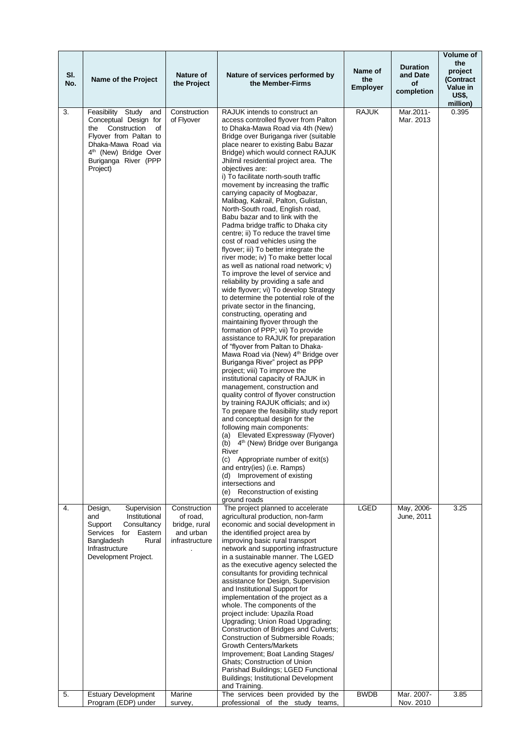| SI.<br>No. | Name of the Project                                                                                                                                                                                      | Nature of<br>the Project                                                 | Nature of services performed by<br>the Member-Firms                                                                                                                                                                                                                                                                                                                                                                                                                                                                                                                                                                                                                                                                                                                                                                                                                                                                                                                                                                                                                                                                                                                                                                                                                                                                                                                                                                                                                                                                                                                                                                                                                                                                                                                                                                  | Name of<br>the<br><b>Employer</b> | <b>Duration</b><br>and Date<br>οf<br>completion | Volume of<br>the<br>project<br>(Contract<br>Value in<br><b>US\$,</b><br>million) |
|------------|----------------------------------------------------------------------------------------------------------------------------------------------------------------------------------------------------------|--------------------------------------------------------------------------|----------------------------------------------------------------------------------------------------------------------------------------------------------------------------------------------------------------------------------------------------------------------------------------------------------------------------------------------------------------------------------------------------------------------------------------------------------------------------------------------------------------------------------------------------------------------------------------------------------------------------------------------------------------------------------------------------------------------------------------------------------------------------------------------------------------------------------------------------------------------------------------------------------------------------------------------------------------------------------------------------------------------------------------------------------------------------------------------------------------------------------------------------------------------------------------------------------------------------------------------------------------------------------------------------------------------------------------------------------------------------------------------------------------------------------------------------------------------------------------------------------------------------------------------------------------------------------------------------------------------------------------------------------------------------------------------------------------------------------------------------------------------------------------------------------------------|-----------------------------------|-------------------------------------------------|----------------------------------------------------------------------------------|
| 3.         | Feasibility Study<br>and<br>Conceptual Design for<br>Construction<br>the<br>οf<br>Flyover from Paltan to<br>Dhaka-Mawa Road via<br>4 <sup>th</sup> (New) Bridge Over<br>Buriganga River (PPP<br>Project) | Construction<br>of Flyover                                               | RAJUK intends to construct an<br>access controlled flyover from Palton<br>to Dhaka-Mawa Road via 4th (New)<br>Bridge over Buriganga river (suitable<br>place nearer to existing Babu Bazar<br>Bridge) which would connect RAJUK<br>Jhilmil residential project area. The<br>obiectives are:<br>i) To facilitate north-south traffic<br>movement by increasing the traffic<br>carrying capacity of Mogbazar,<br>Malibag, Kakrail, Palton, Gulistan,<br>North-South road, English road,<br>Babu bazar and to link with the<br>Padma bridge traffic to Dhaka city<br>centre; ii) To reduce the travel time<br>cost of road vehicles using the<br>flyover; iii) To better integrate the<br>river mode; iv) To make better local<br>as well as national road network; v)<br>To improve the level of service and<br>reliability by providing a safe and<br>wide flyover; vi) To develop Strategy<br>to determine the potential role of the<br>private sector in the financing,<br>constructing, operating and<br>maintaining flyover through the<br>formation of PPP; vii) To provide<br>assistance to RAJUK for preparation<br>of "flyover from Paltan to Dhaka-<br>Mawa Road via (New) 4th Bridge over<br>Buriganga River" project as PPP<br>project; viii) To improve the<br>institutional capacity of RAJUK in<br>management, construction and<br>quality control of flyover construction<br>by training RAJUK officials; and ix)<br>To prepare the feasibility study report<br>and conceptual design for the<br>following main components:<br>(a) Elevated Expressway (Flyover)<br>(b) 4 <sup>th</sup> (New) Bridge over Buriganga<br>River<br>(c) Appropriate number of exit(s)<br>and entry(ies) (i.e. Ramps)<br>(d) Improvement of existing<br>intersections and<br>(e) Reconstruction of existing<br>ground roads | <b>RAJUK</b>                      | Mar.2011-<br>Mar. 2013                          | 0.395                                                                            |
| 4.         | Supervision<br>Design,<br>Institutional<br>and<br>Support<br>Consultancy<br>Services<br>for Eastern<br>Bangladesh<br>Rural<br>Infrastructure<br>Development Project.                                     | Construction<br>of road,<br>bridge, rural<br>and urban<br>infrastructure | The project planned to accelerate<br>agricultural production, non-farm<br>economic and social development in<br>the identified project area by<br>improving basic rural transport<br>network and supporting infrastructure<br>in a sustainable manner. The LGED<br>as the executive agency selected the<br>consultants for providing technical<br>assistance for Design, Supervision<br>and Institutional Support for<br>implementation of the project as a<br>whole. The components of the<br>project include: Upazila Road<br>Upgrading; Union Road Upgrading;<br>Construction of Bridges and Culverts;<br><b>Construction of Submersible Roads:</b><br><b>Growth Centers/Markets</b><br>Improvement; Boat Landing Stages/<br>Ghats; Construction of Union<br>Parishad Buildings; LGED Functional<br><b>Buildings; Institutional Development</b><br>and Training.                                                                                                                                                                                                                                                                                                                                                                                                                                                                                                                                                                                                                                                                                                                                                                                                                                                                                                                                                  | <b>LGED</b>                       | May, 2006-<br>June, 2011                        | 3.25                                                                             |
| 5.         | <b>Estuary Development</b><br>Program (EDP) under                                                                                                                                                        | Marine<br>survey,                                                        | The services been provided by the<br>professional of the study teams,                                                                                                                                                                                                                                                                                                                                                                                                                                                                                                                                                                                                                                                                                                                                                                                                                                                                                                                                                                                                                                                                                                                                                                                                                                                                                                                                                                                                                                                                                                                                                                                                                                                                                                                                                | <b>BWDB</b>                       | Mar. 2007-<br>Nov. 2010                         | 3.85                                                                             |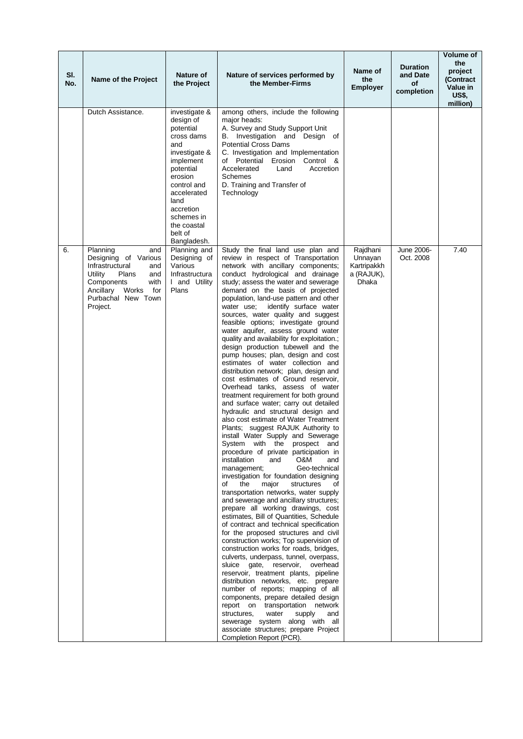| SI.<br>No. | Name of the Project                                                                                                                                                               | Nature of<br>the Project                                                                                                                                                                                                     | Nature of services performed by<br>the Member-Firms                                                                                                                                                                                                                                                                                                                                                                                                                                                                                                                                                                                                                                                                                                                                                                                                                                                                                                                                                                                                                                                                                                                                                                                                                                                                                                                                                                                                                                                                                                                                                                                                                                                                                                                                                                                                                                                                                                                                | Name of<br>the<br><b>Employer</b>                         | <b>Duration</b><br>and Date<br>of<br>completion | Volume of<br>the<br>project<br><b>(Contract</b><br>Value in<br><b>US\$,</b><br>million) |
|------------|-----------------------------------------------------------------------------------------------------------------------------------------------------------------------------------|------------------------------------------------------------------------------------------------------------------------------------------------------------------------------------------------------------------------------|------------------------------------------------------------------------------------------------------------------------------------------------------------------------------------------------------------------------------------------------------------------------------------------------------------------------------------------------------------------------------------------------------------------------------------------------------------------------------------------------------------------------------------------------------------------------------------------------------------------------------------------------------------------------------------------------------------------------------------------------------------------------------------------------------------------------------------------------------------------------------------------------------------------------------------------------------------------------------------------------------------------------------------------------------------------------------------------------------------------------------------------------------------------------------------------------------------------------------------------------------------------------------------------------------------------------------------------------------------------------------------------------------------------------------------------------------------------------------------------------------------------------------------------------------------------------------------------------------------------------------------------------------------------------------------------------------------------------------------------------------------------------------------------------------------------------------------------------------------------------------------------------------------------------------------------------------------------------------------|-----------------------------------------------------------|-------------------------------------------------|-----------------------------------------------------------------------------------------|
|            | Dutch Assistance.                                                                                                                                                                 | investigate &<br>design of<br>potential<br>cross dams<br>and<br>investigate &<br>implement<br>potential<br>erosion<br>control and<br>accelerated<br>land<br>accretion<br>schemes in<br>the coastal<br>belt of<br>Bangladesh. | among others, include the following<br>major heads:<br>A. Survey and Study Support Unit<br>B. Investigation and Design of<br><b>Potential Cross Dams</b><br>C. Investigation and Implementation<br>of Potential Erosion Control &<br>Accretion<br>Accelerated<br>Land<br>Schemes<br>D. Training and Transfer of<br>Technology                                                                                                                                                                                                                                                                                                                                                                                                                                                                                                                                                                                                                                                                                                                                                                                                                                                                                                                                                                                                                                                                                                                                                                                                                                                                                                                                                                                                                                                                                                                                                                                                                                                      |                                                           |                                                 |                                                                                         |
| 6.         | Planning<br>and<br>Designing of Various<br>Infrastructural<br>and<br>Utility<br>Plans<br>and<br>Components<br>with<br>Works<br>for<br>Ancillary<br>Purbachal New Town<br>Project. | Planning and<br>Designing of<br>Various<br>Infrastructura<br>I and Utility<br>Plans                                                                                                                                          | Study the final land use plan and<br>review in respect of Transportation<br>network with ancillary components;<br>conduct hydrological and drainage<br>study; assess the water and sewerage<br>demand on the basis of projected<br>population, land-use pattern and other<br>water use;<br>identify surface water<br>sources, water quality and suggest<br>feasible options; investigate ground<br>water aquifer, assess ground water<br>quality and availability for exploitation.;<br>design production tubewell and the<br>pump houses; plan, design and cost<br>estimates of water collection and<br>distribution network; plan, design and<br>cost estimates of Ground reservoir,<br>Overhead tanks, assess of water<br>treatment requirement for both ground<br>and surface water; carry out detailed<br>hydraulic and structural design and<br>also cost estimate of Water Treatment<br>Plants; suggest RAJUK Authority to<br>install Water Supply and Sewerage<br>System with the prospect and<br>procedure of private participation in<br>installation<br>O&M<br>and<br>and<br>Geo-technical<br>management;<br>investigation for foundation designing<br>of<br>the<br>major<br>structures<br>οf<br>transportation networks, water supply<br>and sewerage and ancillary structures;<br>prepare all working drawings, cost<br>estimates, Bill of Quantities, Schedule<br>of contract and technical specification<br>for the proposed structures and civil<br>construction works; Top supervision of<br>construction works for roads, bridges,<br>culverts, underpass, tunnel, overpass,<br>sluice gate, reservoir, overhead<br>reservoir, treatment plants, pipeline<br>distribution networks, etc. prepare<br>number of reports; mapping of all<br>components, prepare detailed design<br>report on transportation network<br>structures,<br>water<br>supply<br>and<br>sewerage system along with all<br>associate structures; prepare Project<br>Completion Report (PCR). | Rajdhani<br>Unnayan<br>Kartripakkh<br>a (RAJUK),<br>Dhaka | June 2006-<br>Oct. 2008                         | 7.40                                                                                    |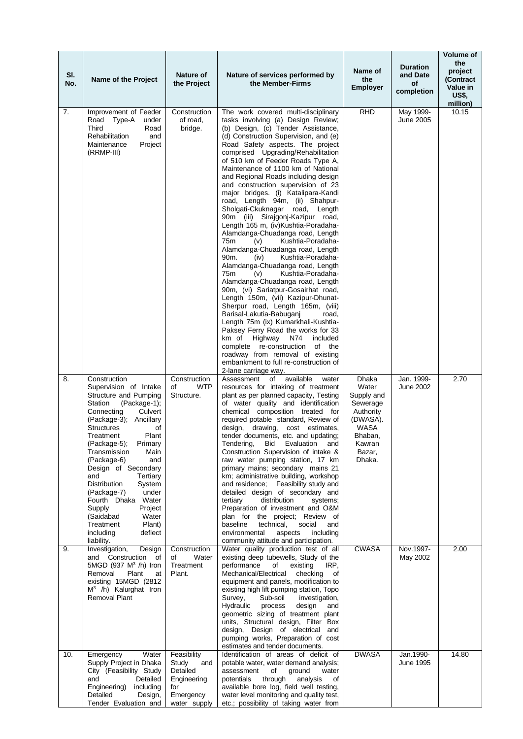| SI.<br>No. | Name of the Project                                                                                                                                                                                                                                                                                                                                                                                                                                                                                | Nature of<br>the Project                                                                   | Nature of services performed by<br>the Member-Firms                                                                                                                                                                                                                                                                                                                                                                                                                                                                                                                                                                                                                                                                                                                                                                                                                                                                                                                                                                                                                                                                                                                                                                                                                                         | Name of<br>the<br>Employer                                                                                                | <b>Duration</b><br>and Date<br><b>of</b><br>completion | Volume of<br>the<br>project<br>(Contract<br>Value in<br>US\$.<br>million) |
|------------|----------------------------------------------------------------------------------------------------------------------------------------------------------------------------------------------------------------------------------------------------------------------------------------------------------------------------------------------------------------------------------------------------------------------------------------------------------------------------------------------------|--------------------------------------------------------------------------------------------|---------------------------------------------------------------------------------------------------------------------------------------------------------------------------------------------------------------------------------------------------------------------------------------------------------------------------------------------------------------------------------------------------------------------------------------------------------------------------------------------------------------------------------------------------------------------------------------------------------------------------------------------------------------------------------------------------------------------------------------------------------------------------------------------------------------------------------------------------------------------------------------------------------------------------------------------------------------------------------------------------------------------------------------------------------------------------------------------------------------------------------------------------------------------------------------------------------------------------------------------------------------------------------------------|---------------------------------------------------------------------------------------------------------------------------|--------------------------------------------------------|---------------------------------------------------------------------------|
| 7.         | Improvement of Feeder<br>Road Type-A<br>under<br>Third<br>Road<br>Rehabilitation<br>and<br>Maintenance<br>Project<br>(RRMP-III)                                                                                                                                                                                                                                                                                                                                                                    | Construction<br>of road,<br>bridge.                                                        | The work covered multi-disciplinary<br>tasks involving (a) Design Review;<br>(b) Design, (c) Tender Assistance,<br>(d) Construction Supervision, and (e)<br>Road Safety aspects. The project<br>comprised Upgrading/Rehabilitation<br>of 510 km of Feeder Roads Type A,<br>Maintenance of 1100 km of National<br>and Regional Roads including design<br>and construction supervision of 23<br>major bridges. (i) Katalipara-Kandi<br>road, Length 94m, (ii) Shahpur-<br>Sholgati-Ckuknagar road, Length<br>90m (iii) Sirajgonj-Kazipur road,<br>Length 165 m, (iv)Kushtia-Poradaha-<br>Alamdanga-Chuadanga road, Length<br>Kushtia-Poradaha-<br>75m<br>(v)<br>Alamdanga-Chuadanga road, Length<br>90 <sub>m</sub><br>(iv)<br>Kushtia-Poradaha-<br>Alamdanga-Chuadanga road, Length<br>75 <sub>m</sub><br>Kushtia-Poradaha-<br>(v)<br>Alamdanga-Chuadanga road, Length<br>90m, (vi) Sariatpur-Gosairhat road,<br>Length 150m, (vii) Kazipur-Dhunat-<br>Sherpur road, Length 165m, (viii)<br>Barisal-Lakutia-Babuganj<br>road,<br>Length 75m (ix) Kumarkhali-Kushtia-<br>Paksey Ferry Road the works for 33<br>km of<br>Highway<br>N74<br>included<br>complete re-construction<br>of the<br>roadway from removal of existing<br>embankment to full re-construction of<br>2-lane carriage way. | <b>RHD</b>                                                                                                                | May 1999-<br>June 2005                                 | 10.15                                                                     |
| 8.         | Construction<br>Supervision of Intake<br>Structure and Pumping<br>Station<br>$(Package-1);$<br>Connecting<br>Culvert<br>(Package-3); Ancillary<br><b>Structures</b><br>of<br>Treatment<br>Plant<br>(Package-5); Primary<br>Transmission<br>Main<br>and<br>(Package-6)<br>Design of Secondary<br>Tertiary<br>and<br>Distribution<br>System<br>(Package-7)<br>under<br>Fourth Dhaka<br>Water<br>Supply<br>Project<br>(Saidabad<br>Water<br>Plant)<br>Treatment<br>including<br>deflect<br>liability. | Construction<br>of<br><b>WTP</b><br>Structure.                                             | Assessment<br>available<br>of<br>water<br>resources for intaking of treatment<br>plant as per planned capacity, Testing<br>of water quality and identification<br>chemical composition treated for<br>required potable standard, Review of<br>design, drawing, cost estimates,<br>tender documents, etc. and updating;<br>Tendering, Bid Evaluation and<br>Construction Supervision of intake &<br>raw water pumping station, 17 km<br>primary mains; secondary mains 21<br>km; administrative building, workshop<br>and residence; Feasibility study and<br>detailed design of secondary and<br>distribution<br>tertiary<br>systems;<br>Preparation of investment and O&M<br>plan for the project; Review of<br>baseline<br>technical,<br>social<br>and<br>environmental<br>aspects<br>including<br>community attitude and participation.                                                                                                                                                                                                                                                                                                                                                                                                                                                  | Dhaka<br>Water<br>Supply and<br>Sewerage<br>Authority<br>(DWASA).<br><b>WASA</b><br>Bhaban,<br>Kawran<br>Bazar,<br>Dhaka. | Jan. 1999-<br>June 2002                                | 2.70                                                                      |
| 9.         | Investigation,<br>Design<br>and Construction<br>of<br>5MGD (937 $M^3$ /h) Iron<br>Removal<br>Plant<br>at<br>existing 15MGD (2812)<br>$M^3$ /h) Kalurghat Iron<br><b>Removal Plant</b>                                                                                                                                                                                                                                                                                                              | Construction<br>Water<br>οf<br>Treatment<br>Plant.                                         | Water quality production test of all<br>existing deep tubewells, Study of the<br>performance<br>of<br>existing<br>IRP,<br>Mechanical/Electrical<br>checking<br>οf<br>equipment and panels, modification to<br>existing high lift pumping station, Topo<br>Sub-soil<br>Survey,<br>investigation,<br>Hydraulic<br>process<br>design<br>and<br>geometric sizing of treatment plant<br>units, Structural design, Filter Box<br>design, Design of electrical and<br>pumping works, Preparation of cost<br>estimates and tender documents.                                                                                                                                                                                                                                                                                                                                                                                                                                                                                                                                                                                                                                                                                                                                                        | <b>CWASA</b>                                                                                                              | Nov.1997-<br>May 2002                                  | 2.00                                                                      |
| 10.        | Water<br>Emergency<br>Supply Project in Dhaka<br>City (Feasibility Study<br>and<br>Detailed<br>Engineering)<br>including<br>Detailed<br>Design,<br>Tender Evaluation and                                                                                                                                                                                                                                                                                                                           | Feasibility<br>Study<br>and<br>Detailed<br>Engineering<br>for<br>Emergency<br>water supply | Identification of areas of deficit of<br>potable water, water demand analysis;<br>assessment<br>of<br>ground<br>water<br>through<br>potentials<br>analysis<br>οf<br>available bore log, field well testing,<br>water level monitoring and quality test,<br>etc.; possibility of taking water from                                                                                                                                                                                                                                                                                                                                                                                                                                                                                                                                                                                                                                                                                                                                                                                                                                                                                                                                                                                           | <b>DWASA</b>                                                                                                              | Jan.1990-<br>June 1995                                 | 14.80                                                                     |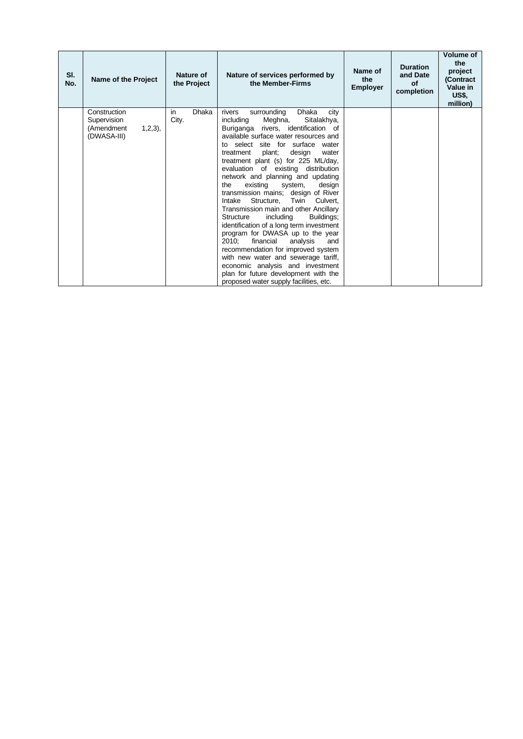| SI.<br>No. | Name of the Project                                                 | Nature of<br>the Project    | Nature of services performed by<br>the Member-Firms                                                                                                                                                                                                                                                                                                                                                                                                                                                                                                                                                                                                                                                                                                                                                                                                                                                          | Name of<br>the<br><b>Employer</b> | <b>Duration</b><br>and Date<br><b>of</b><br>completion | <b>Volume of</b><br>the<br>project<br>(Contract<br>Value in<br><b>US\$,</b><br>million) |
|------------|---------------------------------------------------------------------|-----------------------------|--------------------------------------------------------------------------------------------------------------------------------------------------------------------------------------------------------------------------------------------------------------------------------------------------------------------------------------------------------------------------------------------------------------------------------------------------------------------------------------------------------------------------------------------------------------------------------------------------------------------------------------------------------------------------------------------------------------------------------------------------------------------------------------------------------------------------------------------------------------------------------------------------------------|-----------------------------------|--------------------------------------------------------|-----------------------------------------------------------------------------------------|
|            | Construction<br>Supervision<br>(Amendment<br>1,2,3),<br>(DWASA-III) | in<br><b>Dhaka</b><br>City. | surrounding<br>Dhaka<br>rivers<br>city<br>Meghna,<br>Sitalakhya,<br>including<br>Buriganga rivers, identification of<br>available surface water resources and<br>select site for surface<br>water<br>t٥<br>plant;<br>design<br>treatment<br>water<br>treatment plant (s) for 225 ML/day,<br>evaluation of existing distribution<br>network and planning and updating<br>existing<br>the<br>design<br>system,<br>transmission mains; design of River<br>Structure,<br>Twin<br>Intake<br>Culvert.<br>Transmission main and other Ancillary<br>including<br>Buildings;<br>Structure<br>identification of a long term investment<br>program for DWASA up to the year<br>2010:<br>financial<br>analysis<br>and<br>recommendation for improved system<br>with new water and sewerage tariff,<br>economic analysis and investment<br>plan for future development with the<br>proposed water supply facilities, etc. |                                   |                                                        |                                                                                         |